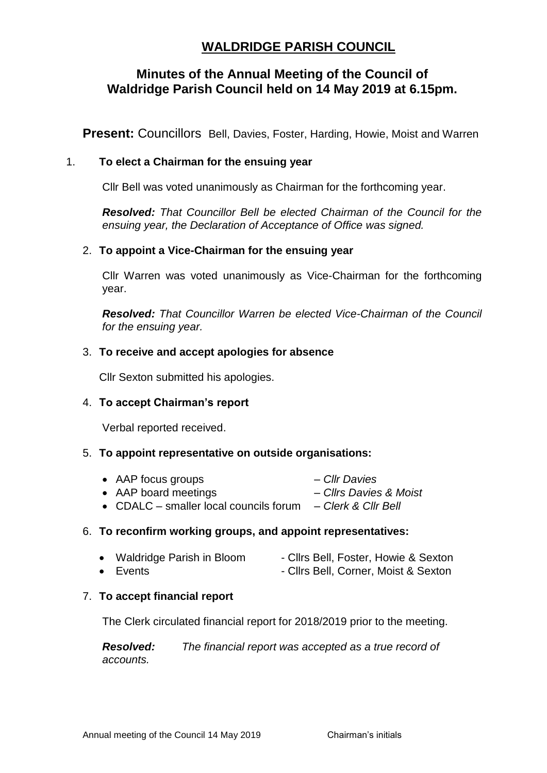# **WALDRIDGE PARISH COUNCIL**

## **Minutes of the Annual Meeting of the Council of Waldridge Parish Council held on 14 May 2019 at 6.15pm.**

**Present: Councillors** Bell, Davies, Foster, Harding, Howie, Moist and Warren

## 1. **To elect a Chairman for the ensuing year**

Cllr Bell was voted unanimously as Chairman for the forthcoming year.

*Resolved: That Councillor Bell be elected Chairman of the Council for the ensuing year, the Declaration of Acceptance of Office was signed.*

## 2. **To appoint a Vice-Chairman for the ensuing year**

Cllr Warren was voted unanimously as Vice-Chairman for the forthcoming year.

*Resolved: That Councillor Warren be elected Vice-Chairman of the Council for the ensuing year.*

#### 3. **To receive and accept apologies for absence**

Cllr Sexton submitted his apologies.

#### 4. **To accept Chairman's report**

Verbal reported received.

#### 5. **To appoint representative on outside organisations:**

- AAP focus groups *Cllr Davies*  • AAP board meetings – *Cllrs Davies & Moist*
- CDALC smaller local councils forum *Clerk & Cllr Bell*

#### 6. **To reconfirm working groups, and appoint representatives:**

|  | <b>Waldridge Parish in Bloom</b> | - Clirs Bell, Foster, Howie & Sexton |
|--|----------------------------------|--------------------------------------|
|--|----------------------------------|--------------------------------------|

• Events **- Clirs Bell, Corner, Moist & Sexton** 

#### 7. **To accept financial report**

The Clerk circulated financial report for 2018/2019 prior to the meeting.

*Resolved: The financial report was accepted as a true record of accounts.*